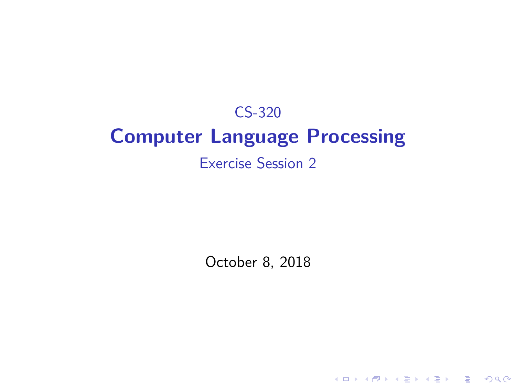## CS-320 **Computer Language Processing** Exercise Session 2

October 8, 2018

K ロ ▶ K @ ▶ K 할 ▶ K 할 ▶ 이 할 → 9 Q Q →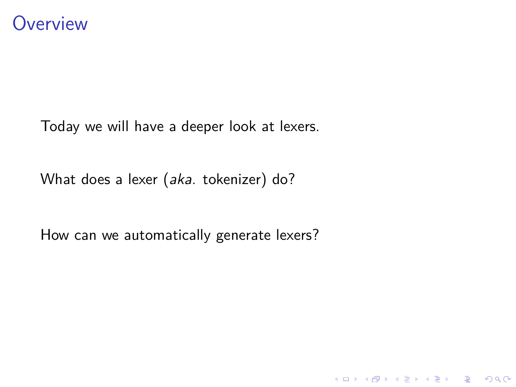

Today we will have a deeper look at lexers.

What does a lexer (aka. tokenizer) do?

How can we automatically generate lexers?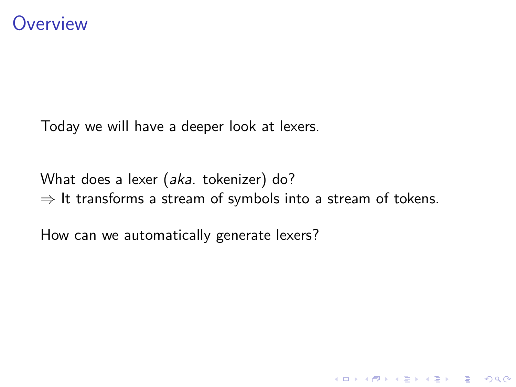Today we will have a deeper look at lexers.

What does a lexer (aka. tokenizer) do?  $\Rightarrow$  It transforms a stream of symbols into a stream of tokens.

How can we automatically generate lexers?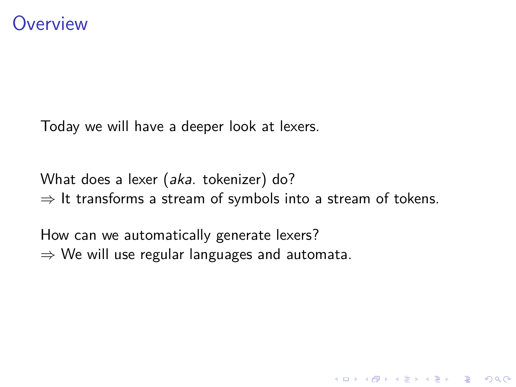Today we will have a deeper look at lexers.

What does a lexer (aka. tokenizer) do?  $\Rightarrow$  It transforms a stream of symbols into a stream of tokens.

How can we automatically generate lexers?  $\Rightarrow$  We will use regular languages and automata.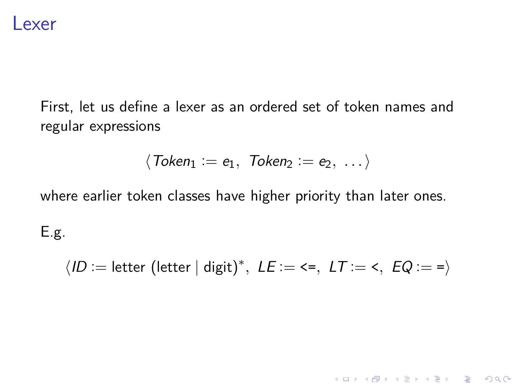

First, let us define a lexer as an ordered set of token names and regular expressions

$$
\langle \textit{Token}_1 := e_1, \textit{Token}_2 := e_2, \ldots \rangle
$$

where earlier token classes have higher priority than later ones.

E.g.

 $\langle$ *ID* := letter (letter | digit)<sup>\*</sup>, *LE* := <=, *LT* := <, *EQ* := =)

KO K K Ø K K E K K E K V K K K K K K K K K K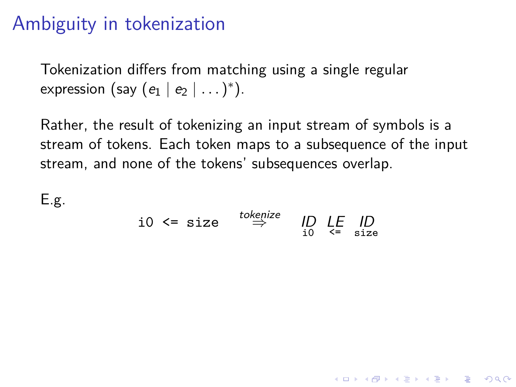# Ambiguity in tokenization

Tokenization differs from matching using a single regular expression (say  $(e_1 | e_2 | \dots )^*$ ).

Rather, the result of tokenizing an input stream of symbols is a stream of tokens. Each token maps to a subsequence of the input stream, and none of the tokens' subsequences overlap.

E.g.

$$
i0 \leq size \stackrel{tokenize}{\Rightarrow} \stackrel{ID}{ID} \stackrel{LE}{\leq} \stackrel{ID}{\leq} \stackrel{size}{\leq}
$$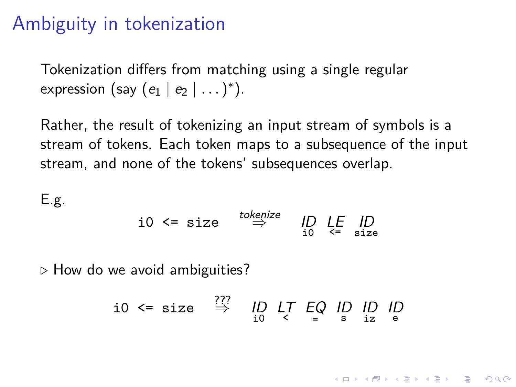## Ambiguity in tokenization

Tokenization differs from matching using a single regular expression (say  $(e_1 | e_2 | \dots )^*$ ).

Rather, the result of tokenizing an input stream of symbols is a stream of tokens. Each token maps to a subsequence of the input stream, and none of the tokens' subsequences overlap.

E.g.

$$
i0 \leq size \stackrel{tokenize}{\Rightarrow} \stackrel{ID}{ID} \stackrel{LE}{\leq} \stackrel{ID}{\leq} \stackrel{size}{\leq}
$$

*.* How do we avoid ambiguities?

$$
i0 \leq size \overset{???}{\Rightarrow} \underset{i0}{\text{ID }} \underset{\leq}{\text{LT }} \underset{=}{\text{EQ }} \underset{s}{\text{ID }} \underset{iz}{\text{ID }} \underset{e}{\text{ID }}
$$

**KORKARYKERKER POLO**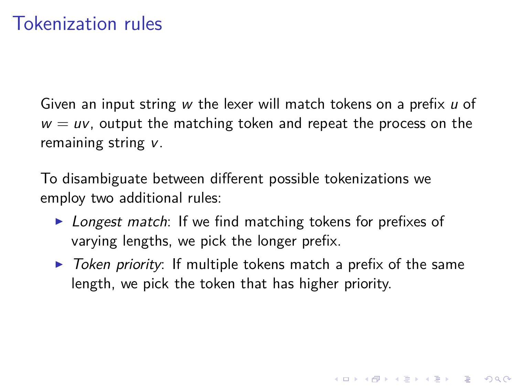## Tokenization rules

Given an input string  $w$  the lexer will match tokens on a prefix  $u$  of  $w = uv$ , output the matching token and repeat the process on the remaining string v.

To disambiguate between different possible tokenizations we employ two additional rules:

- $\triangleright$  Longest match: If we find matching tokens for prefixes of varying lengths, we pick the longer prefix.
- $\triangleright$  Token priority: If multiple tokens match a prefix of the same length, we pick the token that has higher priority.

4 0 > 4 4 + 4 = + 4 = + = + + 0 4 0 +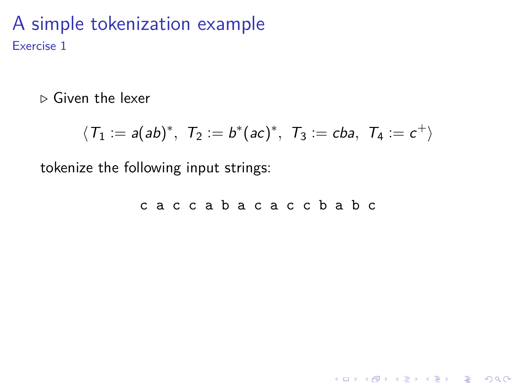*.* Given the lexer

$$
\langle T_1:=a(ab)^*,\ \ T_2:=b^*(ac)^*,\ \ T_3:=cba,\ \ T_4:=c^+\rangle
$$

tokenize the following input strings:

c a c c a b a c a c c b a b c

K ロ ▶ K @ ▶ K 할 ▶ K 할 ▶ | 할 | © 9 Q @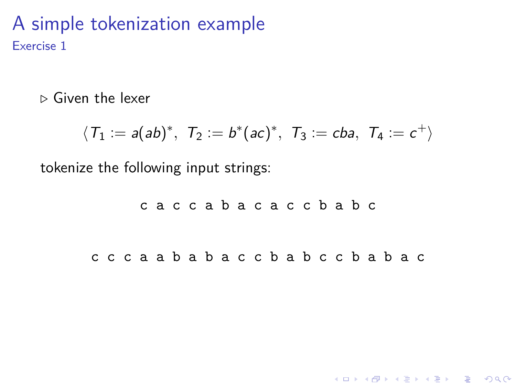*.* Given the lexer

$$
\langle T_1:=a(ab)^*,\ \ T_2:=b^*(ac)^*,\ \ T_3:=cba,\ \ T_4:=c^+\rangle
$$

tokenize the following input strings:

c a c c a b a c a c c b a b c c c c a a b a b a c c b a b c c b a b a c

K ロ ▶ K 個 ▶ K 할 ▶ K 할 ▶ 이 할 → 9 Q Q →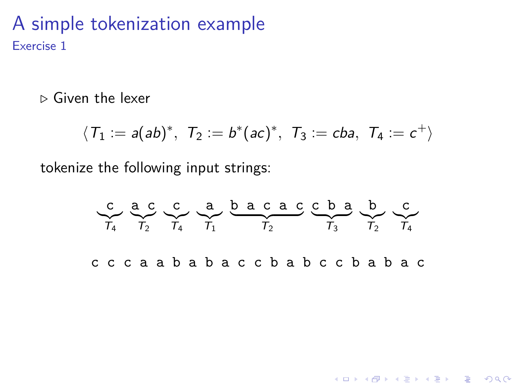*.* Given the lexer

$$
\langle T_1:=a(ab)^*,\ \ T_2:=b^*(ac)^*,\ \ T_3:=cba,\ \ T_4:=c^+\rangle
$$

tokenize the following input strings:

$$
\begin{array}{ccccccccc}\nC & a & C & a & b & a & c & c & b & a & b & c \\
\hline\nT_4 & T_2 & T_4 & T_1 & T_2 & T_3 & T_3 & T_2 & T_4\n\end{array}
$$
\nc  
\n
$$
C & C & C & a & a & b & a & c & c & b & a & b & c & b & a & b & c\n\end{array}
$$

K ロ ▶ K @ ▶ K 할 ▶ K 할 ▶ | 할 | © 9 Q @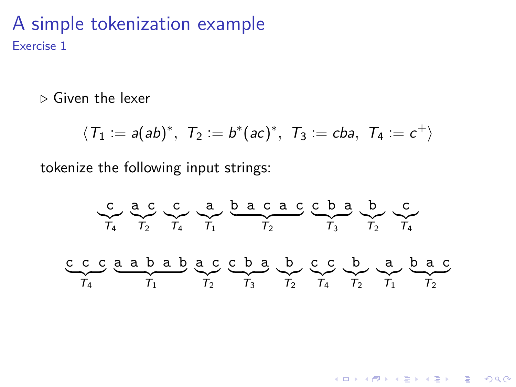*.* Given the lexer

$$
\langle T_1:=a(ab)^*,\ \ T_2:=b^*(ac)^*,\ \ T_3:=cba,\ \ T_4:=c^+\rangle
$$

tokenize the following input strings:

$$
\begin{array}{ccccccccc}\n & & \mathbf{c} & & \mathbf{c} & & \mathbf{a} & & \mathbf{c} & & \mathbf{c} \\
\hline\n & & & & & & & & & \\
\mathbf{c} & & & & & & & & & \\
\mathbf{c} & & & & & & & & & \\
\mathbf{c} & & & & & & & & & \\
\mathbf{c} & & & & & & & & & \\
\mathbf{c} & & & & & & & & & & \\
\mathbf{c} & & & & & & & & & & \\
\mathbf{c} & & & & & & & & & & \\
\mathbf{c} & & & & & & & & & & \\
\mathbf{c} & & & & & & & & & & \\
\mathbf{c} & & & & & & & & & & \\
\mathbf{d} & & & & & & & & & & \\
\mathbf{d} & & & & & & & & & & \\
\mathbf{d} & & & & & & & & & & & \\
\mathbf{d} & & & & & & & & & & & \\
\mathbf{d} & & & & & & & & & & & \\
\mathbf{d} & & & & & & & & & & & \\
\mathbf{d} & & & & & & & & & & \\
\mathbf{d} & & & & & & & &
$$

K ロ ▶ K @ ▶ K 할 ▶ K 할 ▶ | 할 | © 9 Q @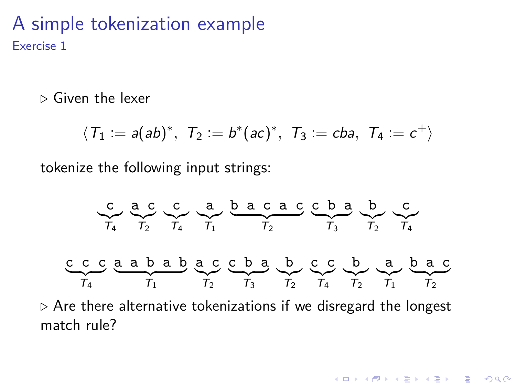*.* Given the lexer

$$
\langle T_1:=a(ab)^*,\ \ T_2:=b^*(ac)^*,\ \ T_3:=cba,\ \ T_4:=c^+\rangle
$$

tokenize the following input strings:

$$
\underbrace{c}_{T_4} \underbrace{a \ c}_{T_2} \underbrace{c}_{T_4} \underbrace{a}_{T_1} \underbrace{b \ a \ c \ a \ c}_{T_2} \underbrace{c \ b \ a}_{T_3} \underbrace{b \ c}_{T_4} \underbrace{c}_{T_4}
$$
\n
$$
\underbrace{c \ c \ c \ a \ a \ b \ a \ b}_{T_1} \underbrace{c \ c \ b \ a}_{T_2} \underbrace{b \ c \ c}_{T_3} \underbrace{c \ b \ a}_{T_2} \underbrace{b \ a \ c}_{T_4} \underbrace{c}_{T_1} \underbrace{b \ a \ c}_{T_2}
$$

 $\rho$  Are there alternative tokenizations if we disregard the longest match rule?

K ロ ▶ K 個 ▶ K 할 ▶ K 할 ▶ 이 할 → 9 Q Q →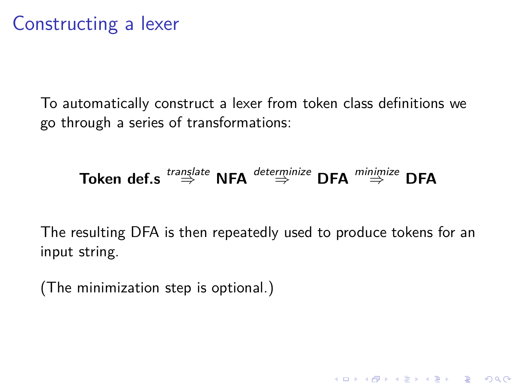## Constructing a lexer

To automatically construct a lexer from token class definitions we go through a series of transformations:

# **Token def.s**  $\stackrel{translate}{\Rightarrow}$  **NFA**  $\stackrel{determine}{\Rightarrow}$  **DFA**  $\stackrel{minimize}{\Rightarrow}$  **DFA**

The resulting DFA is then repeatedly used to produce tokens for an input string.

(The minimization step is optional.)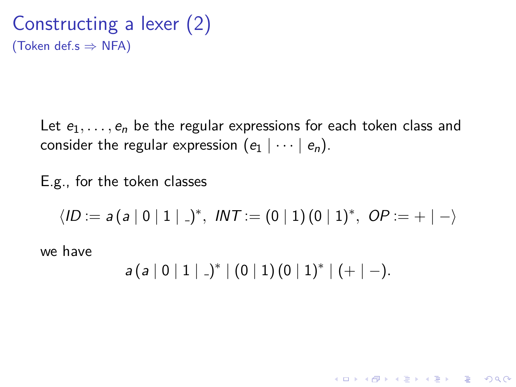Constructing a lexer (2) (Token def.s  $\Rightarrow$  NFA)

> Let  $e_1, \ldots, e_n$  be the regular expressions for each token class and consider the regular expression  $(e_1 | \cdots | e_n)$ .

E.g., for the token classes

 $\langle ID := a(a | 0 | 1 | . \rangle^*, \text{ INT} := (0 | 1) (0 | 1)^*, \text{ OP} := + | - \rangle$ 

we have

 $a(a | 0 | 1 | )^* | (0 | 1) (0 | 1)^* | (+ | -).$ 

**KORKARYKERKER POLO**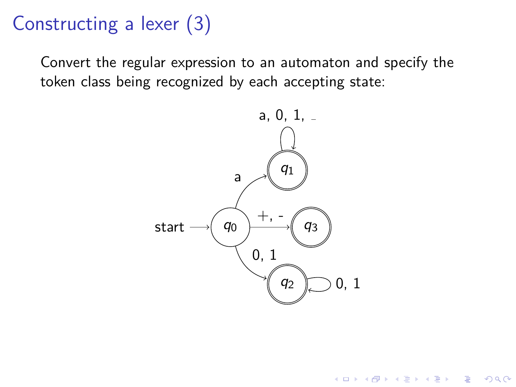# Constructing a lexer (3)

Convert the regular expression to an automaton and specify the token class being recognized by each accepting state:



**KORK EXTERNE PROVIDE**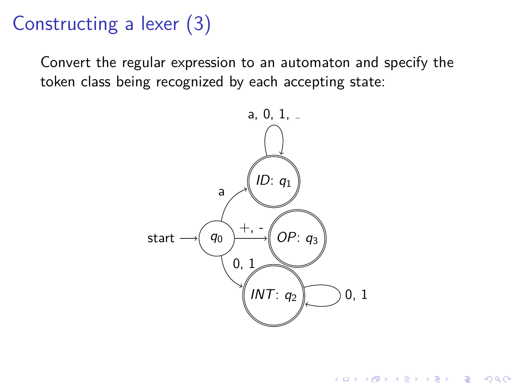# Constructing a lexer (3)

Convert the regular expression to an automaton and specify the token class being recognized by each accepting state:



 $\left\{ \begin{array}{ccc} 1 & 0 & 0 \\ 0 & 1 & 0 \\ 0 & 0 & 0 \\ 0 & 0 & 0 \\ 0 & 0 & 0 \\ 0 & 0 & 0 \\ 0 & 0 & 0 \\ 0 & 0 & 0 \\ 0 & 0 & 0 \\ 0 & 0 & 0 \\ 0 & 0 & 0 \\ 0 & 0 & 0 \\ 0 & 0 & 0 \\ 0 & 0 & 0 \\ 0 & 0 & 0 & 0 \\ 0 & 0 & 0 & 0 \\ 0 & 0 & 0 & 0 \\ 0 & 0 & 0 & 0 & 0 \\ 0 & 0 & 0 & 0 & 0 \\ 0 & 0 & 0 & 0 & 0 \\ 0$ 

 $2990$ 

B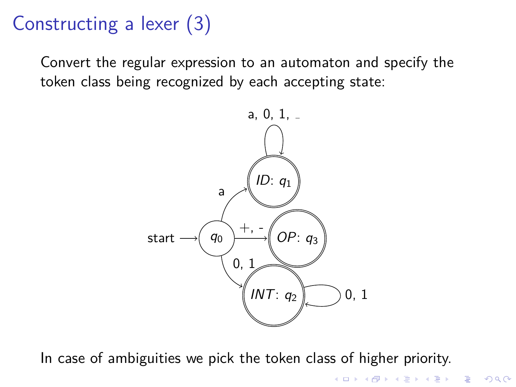# Constructing a lexer (3)

Convert the regular expression to an automaton and specify the token class being recognized by each accepting state:



In case of ambiguities we pick the token class of higher priority.

イロト イ部 トイ ヨト イヨト

B

 $2Q$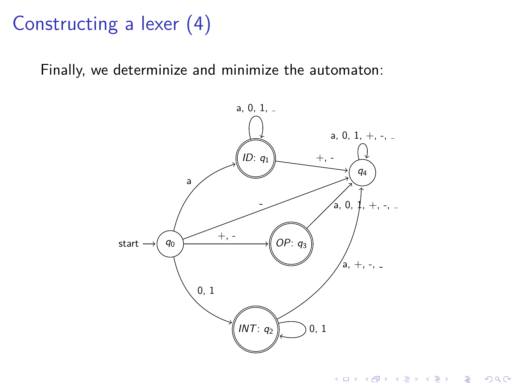# Constructing a lexer (4)

Finally, we determinize and minimize the automaton:



**Kロトメ部トメミトメミト ミニのRC**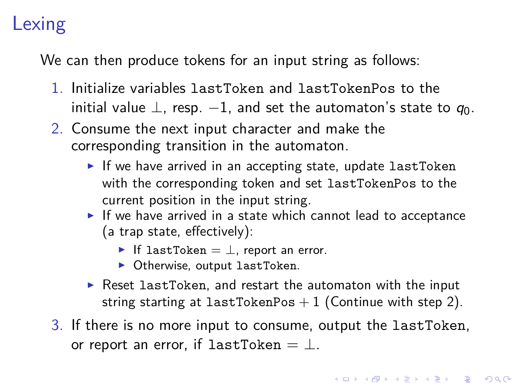# Lexing

We can then produce tokens for an input string as follows:

- 1. Initialize variables lastToken and lastTokenPos to the initial value  $\perp$ , resp.  $-1$ , and set the automaton's state to  $q_0$ .
- 2. Consume the next input character and make the corresponding transition in the automaton.
	- $\blacktriangleright$  If we have arrived in an accepting state, update lastToken with the corresponding token and set lastTokenPos to the current position in the input string.
	- $\blacktriangleright$  If we have arrived in a state which cannot lead to acceptance (a trap state, effectively):
		- If lastToken =  $\perp$ , report an error.
		- $\triangleright$  Otherwise, output lastToken.
	- $\triangleright$  Reset lastToken, and restart the automaton with the input string starting at lastTokenPos  $+1$  (Continue with step 2).
- 3. If there is no more input to consume, output the lastToken, or report an error, if lastToken =  $\perp$ .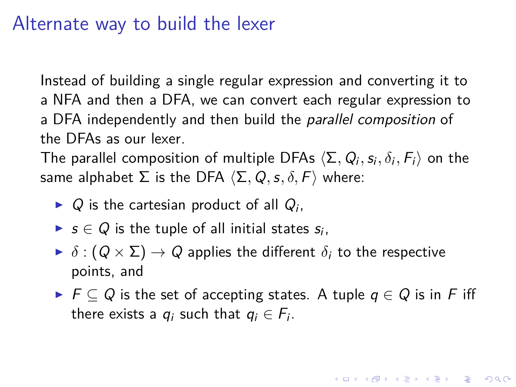### Alternate way to build the lexer

Instead of building a single regular expression and converting it to a NFA and then a DFA, we can convert each regular expression to a DFA independently and then build the *parallel composition* of the DFAs as our lexer.

The parallel composition of multiple DFAs  $\langle \Sigma, Q_i, s_i, \delta_i, F_i \rangle$  on the same alphabet  $\Sigma$  is the DFA  $\langle \Sigma, Q, s, \delta, F \rangle$  where:

- $\triangleright$  Q is the cartesian product of all  $Q_i$ ,
- ►  $s \in Q$  is the tuple of all initial states  $s_i$ ,
- $\blacktriangleright$   $\delta$  :  $(Q \times \Sigma) \rightarrow Q$  applies the different  $\delta_i$  to the respective points, and
- $\triangleright$   $\vdash$   $\vdash$   $\subset$   $Q$  is the set of accepting states. A tuple  $q \in Q$  is in F iff there exists a  $q_i$  such that  $q_i \in F_i$ .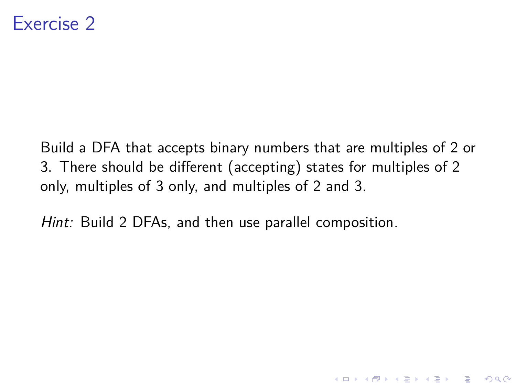Build a DFA that accepts binary numbers that are multiples of 2 or 3. There should be different (accepting) states for multiples of 2 only, multiples of 3 only, and multiples of 2 and 3.

Hint: Build 2 DFAs, and then use parallel composition.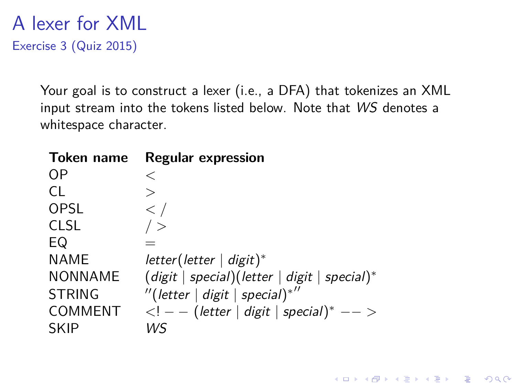A lexer for XML Exercise 3 (Quiz 2015)

> Your goal is to construct a lexer (i.e., a DFA) that tokenizes an XML input stream into the tokens listed below. Note that WS denotes a whitespace character.

> > K ロ ▶ K 個 ▶ K 할 ▶ K 할 ▶ 이 할 → 9 Q Q →

| Token name     | <b>Regular expression</b>                         |
|----------------|---------------------------------------------------|
| OΡ             | $\,<\,$                                           |
| CL.            | $\rm{>}$                                          |
| OPSL           | $\lt$ /                                           |
| <b>CLSL</b>    | $\rightarrow$                                     |
| EQ             |                                                   |
| <b>NAME</b>    | $letter(lefter   digit)*$                         |
| <b>NONNAME</b> | $(digit   special)(letter   digit   special)*$    |
| <b>STRING</b>  | "(letter   digit   special)*"                     |
| <b>COMMENT</b> | $\langle -  -  $ (letter   digit   special)* $--$ |
| <b>SKIP</b>    | WS                                                |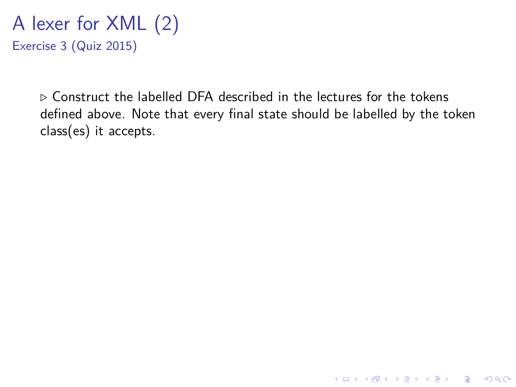A lexer for XML (2) Exercise 3 (Quiz 2015)

> *.* Construct the labelled DFA described in the lectures for the tokens defined above. Note that every final state should be labelled by the token class(es) it accepts.

> > K ロ ▶ K 個 ▶ K 할 ▶ K 할 ▶ 이 할 → 9 Q Q →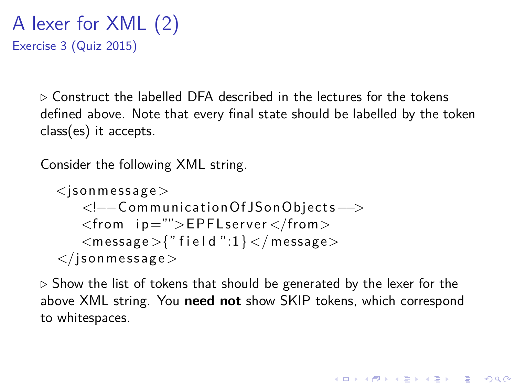A lexer for XML (2) Exercise 3 (Quiz 2015)

> $\triangleright$  Construct the labelled DFA described in the lectures for the tokens defined above. Note that every final state should be labelled by the token class(es) it accepts.

Consider the following XML string.

```
<json message><!−−C ommunica ti onO fJS onObjec t s−−>
   <from ip="">EPFLserver</from>
   <message >\{" field ":1} </ message >\langleison message>
```
*.* Show the list of tokens that should be generated by the lexer for the above XML string. You **need not** show SKIP tokens, which correspond to whitespaces.

**KORKAR KERKER SAGA**